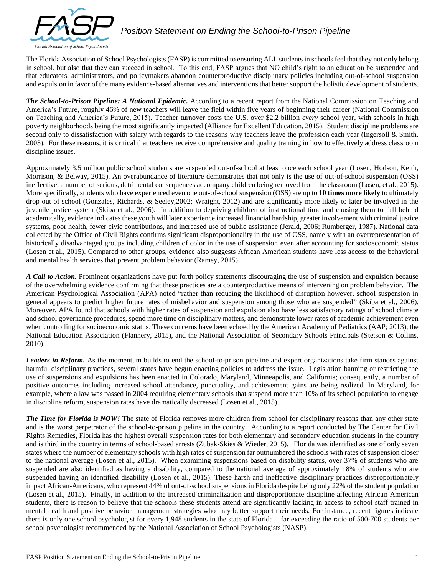

The Florida Association of School Psychologists (FASP) is committed to ensuring ALL students in schools feel that they not only belong in school, but also that they can succeed in school. To this end, FASP argues that NO child's right to an education be suspended and that educators, administrators, and policymakers abandon counterproductive disciplinary policies including out-of-school suspension and expulsion in favor of the many evidence-based alternatives and interventions that better support the holistic development of students.

*The School-to-Prison Pipeline: A National Epidemic.* According to a recent report from the National Commission on Teaching and America's Future, roughly 46% of new teachers will leave the field within five years of beginning their career (National Commission on Teaching and America's Future, 2015). Teacher turnover costs the U.S. over \$2.2 billion *every* school year, with schools in high poverty neighborhoods being the most significantly impacted (Alliance for Excellent Education, 2015). Student discipline problems are second only to dissatisfaction with salary with regards to the reasons why teachers leave the profession each year (Ingersoll & Smith, 2003). For these reasons, it is critical that teachers receive comprehensive and quality training in how to effectively address classroom discipline issues.

Approximately 3.5 million public school students are suspended out-of-school at least once each school year (Losen, Hodson, Keith, Morrison, & Belway, 2015). An overabundance of literature demonstrates that not only is the use of out-of-school suspension (OSS) ineffective, a number of serious, detrimental consequences accompany children being removed from the classroom (Losen, et al., 2015). More specifically, students who have experienced even one out-of-school suspension (OSS) are up to **10 times more likely** to ultimately drop out of school (Gonzales, Richards, & Seeley,2002; Wraight, 2012) and are significantly more likely to later be involved in the juvenile justice system (Skiba et al., 2006). In addition to depriving children of instructional time and causing them to fall behind academically, evidence indicates these youth will later experience increased financial hardship, greater involvement with criminal justice systems, poor health, fewer civic contributions, and increased use of public assistance (Jerald, 2006; Rumberger, 1987). National data collected by the Office of Civil Rights confirms significant disproportionality in the use of OSS, namely with an overrepresentation of historically disadvantaged groups including children of color in the use of suspension even after accounting for socioeconomic status (Losen et al., 2015). Compared to other groups, evidence also suggests African American students have less access to the behavioral and mental health services that prevent problem behavior (Ramey, 2015).

*A Call to Action.* Prominent organizations have put forth policy statements discouraging the use of suspension and expulsion because of the overwhelming evidence confirming that these practices are a counterproductive means of intervening on problem behavior. The American Psychological Association (APA) noted "rather than reducing the likelihood of disruption however, school suspension in general appears to predict higher future rates of misbehavior and suspension among those who are suspended" (Skiba et al., 2006). Moreover, APA found that schools with higher rates of suspension and expulsion also have less satisfactory ratings of school climate and school governance procedures, spend more time on disciplinary matters, and demonstrate lower rates of academic achievement even when controlling for socioeconomic status. These concerns have been echoed by the American Academy of Pediatrics (AAP; 2013), the National Education Association (Flannery, 2015), and the National Association of Secondary Schools Principals (Stetson & Collins, 2010).

*Leaders in Reform.* As the momentum builds to end the school-to-prison pipeline and expert organizations take firm stances against harmful disciplinary practices, several states have begun enacting policies to address the issue. Legislation banning or restricting the use of suspensions and expulsions has been enacted in Colorado, Maryland, Minneapolis, and California; consequently, a number of positive outcomes including increased school attendance, punctuality, and achievement gains are being realized. In Maryland, for example, where a law was passed in 2004 requiring elementary schools that suspend more than 10% of its school population to engage in discipline reform, suspension rates have dramatically decreased (Losen et al., 2015).

*The Time for Florida is NOW!* The state of Florida removes more children from school for disciplinary reasons than any other state and is the worst perpetrator of the school-to-prison pipeline in the country. According to a report conducted by The Center for Civil Rights Remedies, Florida has the highest overall suspension rates for both elementary and secondary education students in the country and is third in the country in terms of school-based arrests (Zubak-Skies & Wieder, 2015). Florida was identified as one of only seven states where the number of elementary schools with high rates of suspension far outnumbered the schools with rates of suspension closer to the national average (Losen et al., 2015). When examining suspensions based on disability status, over 37% of students who are suspended are also identified as having a disability, compared to the national average of approximately 18% of students who are suspended having an identified disability (Losen et al., 2015). These harsh and ineffective disciplinary practices disproportionately impact African-Americans, who represent 44% of out-of-school suspensions in Florida despite being only 22% of the student population (Losen et al., 2015). Finally, in addition to the increased criminalization and disproportionate discipline affecting African American students, there is reason to believe that the schools these students attend are significantly lacking in access to school staff trained in mental health and positive behavior management strategies who may better support their needs. For instance, recent figures indicate there is only one school psychologist for every 1,948 students in the state of Florida – far exceeding the ratio of 500-700 students per school psychologist recommended by the National Association of School Psychologists (NASP).